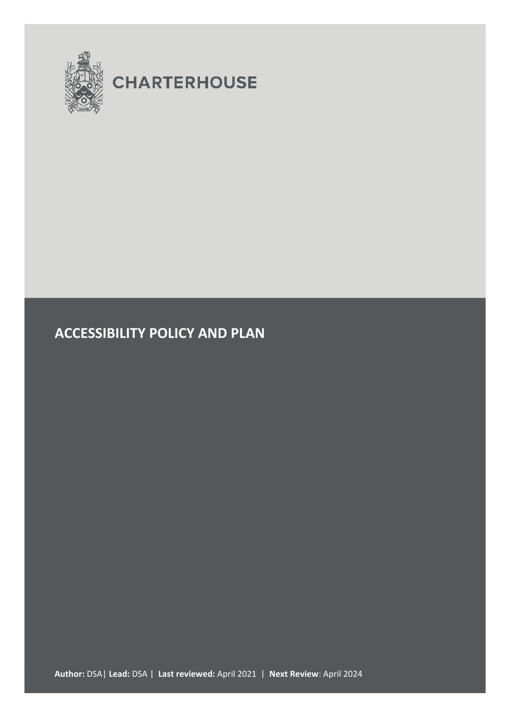

# **CHARTERHOUSE**

# **ACCESSIBILITY POLICY AND PLAN**

**Author:** DSA| **Lead:** DSA | **Last reviewed:** April 2021 | **Next Review**: April 2024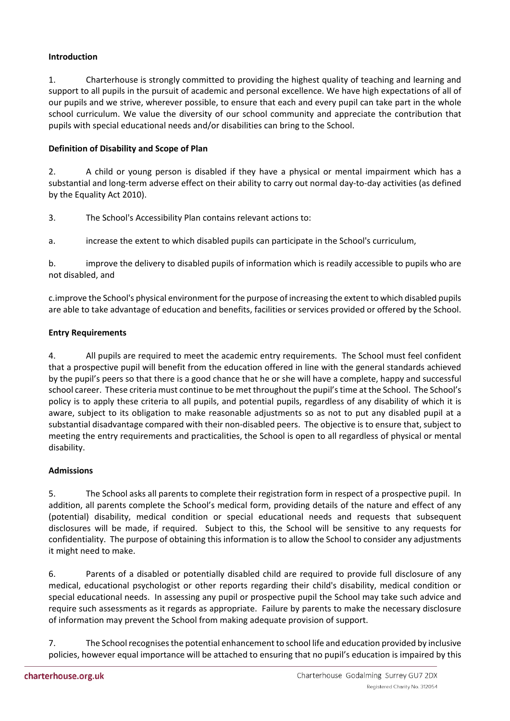# **Introduction**

1. Charterhouse is strongly committed to providing the highest quality of teaching and learning and support to all pupils in the pursuit of academic and personal excellence. We have high expectations of all of our pupils and we strive, wherever possible, to ensure that each and every pupil can take part in the whole school curriculum. We value the diversity of our school community and appreciate the contribution that pupils with special educational needs and/or disabilities can bring to the School.

# **Definition of Disability and Scope of Plan**

2. A child or young person is disabled if they have a physical or mental impairment which has a substantial and long-term adverse effect on their ability to carry out normal day-to-day activities (as defined by the Equality Act 2010).

3. The School's Accessibility Plan contains relevant actions to:

a. increase the extent to which disabled pupils can participate in the School's curriculum,

b. improve the delivery to disabled pupils of information which is readily accessible to pupils who are not disabled, and

c.improve the School's physical environment for the purpose of increasing the extent to which disabled pupils are able to take advantage of education and benefits, facilities or services provided or offered by the School.

### **Entry Requirements**

4. All pupils are required to meet the academic entry requirements. The School must feel confident that a prospective pupil will benefit from the education offered in line with the general standards achieved by the pupil's peers so that there is a good chance that he or she will have a complete, happy and successful school career. These criteria must continue to be met throughout the pupil's time at the School. The School's policy is to apply these criteria to all pupils, and potential pupils, regardless of any disability of which it is aware, subject to its obligation to make reasonable adjustments so as not to put any disabled pupil at a substantial disadvantage compared with their non-disabled peers. The objective is to ensure that, subject to meeting the entry requirements and practicalities, the School is open to all regardless of physical or mental disability.

### **Admissions**

5. The School asks all parents to complete their registration form in respect of a prospective pupil. In addition, all parents complete the School's medical form, providing details of the nature and effect of any (potential) disability, medical condition or special educational needs and requests that subsequent disclosures will be made, if required. Subject to this, the School will be sensitive to any requests for confidentiality. The purpose of obtaining this information is to allow the School to consider any adjustments it might need to make.

6. Parents of a disabled or potentially disabled child are required to provide full disclosure of any medical, educational psychologist or other reports regarding their child's disability, medical condition or special educational needs. In assessing any pupil or prospective pupil the School may take such advice and require such assessments as it regards as appropriate. Failure by parents to make the necessary disclosure of information may prevent the School from making adequate provision of support.

7. The School recognises the potential enhancement to school life and education provided by inclusive policies, however equal importance will be attached to ensuring that no pupil's education is impaired by this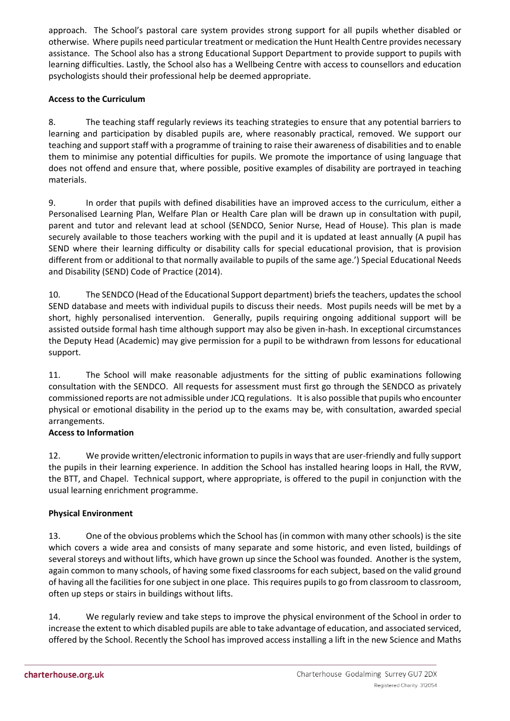approach. The School's pastoral care system provides strong support for all pupils whether disabled or otherwise. Where pupils need particular treatment or medication the Hunt Health Centre provides necessary assistance. The School also has a strong Educational Support Department to provide support to pupils with learning difficulties. Lastly, the School also has a Wellbeing Centre with access to counsellors and education psychologists should their professional help be deemed appropriate.

# **Access to the Curriculum**

8. The teaching staff regularly reviews its teaching strategies to ensure that any potential barriers to learning and participation by disabled pupils are, where reasonably practical, removed. We support our teaching and support staff with a programme of training to raise their awareness of disabilities and to enable them to minimise any potential difficulties for pupils. We promote the importance of using language that does not offend and ensure that, where possible, positive examples of disability are portrayed in teaching materials.

9. In order that pupils with defined disabilities have an improved access to the curriculum, either a Personalised Learning Plan, Welfare Plan or Health Care plan will be drawn up in consultation with pupil, parent and tutor and relevant lead at school (SENDCO, Senior Nurse, Head of House). This plan is made securely available to those teachers working with the pupil and it is updated at least annually (A pupil has SEND where their learning difficulty or disability calls for special educational provision, that is provision different from or additional to that normally available to pupils of the same age.') Special Educational Needs and Disability (SEND) Code of Practice (2014).

10. The SENDCO (Head of the Educational Support department) briefs the teachers, updates the school SEND database and meets with individual pupils to discuss their needs. Most pupils needs will be met by a short, highly personalised intervention. Generally, pupils requiring ongoing additional support will be assisted outside formal hash time although support may also be given in-hash. In exceptional circumstances the Deputy Head (Academic) may give permission for a pupil to be withdrawn from lessons for educational support.

11. The School will make reasonable adjustments for the sitting of public examinations following consultation with the SENDCO. All requests for assessment must first go through the SENDCO as privately commissioned reports are not admissible under JCQ regulations. It is also possible that pupils who encounter physical or emotional disability in the period up to the exams may be, with consultation, awarded special arrangements.

# **Access to Information**

12. We provide written/electronic information to pupils in ways that are user-friendly and fully support the pupils in their learning experience. In addition the School has installed hearing loops in Hall, the RVW, the BTT, and Chapel. Technical support, where appropriate, is offered to the pupil in conjunction with the usual learning enrichment programme.

# **Physical Environment**

13. One of the obvious problems which the School has (in common with many other schools) is the site which covers a wide area and consists of many separate and some historic, and even listed, buildings of several storeys and without lifts, which have grown up since the School was founded. Another is the system, again common to many schools, of having some fixed classrooms for each subject, based on the valid ground of having all the facilities for one subject in one place. This requires pupils to go from classroom to classroom, often up steps or stairs in buildings without lifts.

14. We regularly review and take steps to improve the physical environment of the School in order to increase the extent to which disabled pupils are able to take advantage of education, and associated serviced, offered by the School. Recently the School has improved access installing a lift in the new Science and Maths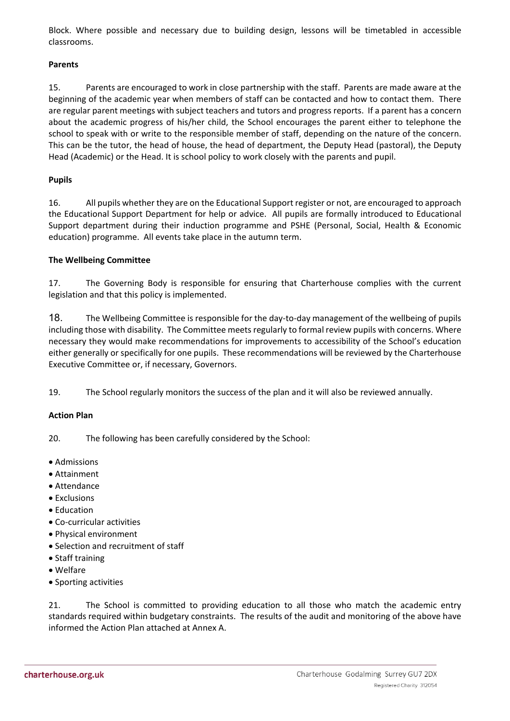Block. Where possible and necessary due to building design, lessons will be timetabled in accessible classrooms.

#### **Parents**

15. Parents are encouraged to work in close partnership with the staff. Parents are made aware at the beginning of the academic year when members of staff can be contacted and how to contact them. There are regular parent meetings with subject teachers and tutors and progress reports. If a parent has a concern about the academic progress of his/her child, the School encourages the parent either to telephone the school to speak with or write to the responsible member of staff, depending on the nature of the concern. This can be the tutor, the head of house, the head of department, the Deputy Head (pastoral), the Deputy Head (Academic) or the Head. It is school policy to work closely with the parents and pupil.

#### **Pupils**

16. All pupils whether they are on the Educational Support register or not, are encouraged to approach the Educational Support Department for help or advice. All pupils are formally introduced to Educational Support department during their induction programme and PSHE (Personal, Social, Health & Economic education) programme. All events take place in the autumn term.

#### **The Wellbeing Committee**

17. The Governing Body is responsible for ensuring that Charterhouse complies with the current legislation and that this policy is implemented.

18. The Wellbeing Committee is responsible for the day-to-day management of the wellbeing of pupils including those with disability. The Committee meets regularly to formal review pupils with concerns. Where necessary they would make recommendations for improvements to accessibility of the School's education either generally or specifically for one pupils. These recommendations will be reviewed by the Charterhouse Executive Committee or, if necessary, Governors.

19. The School regularly monitors the success of the plan and it will also be reviewed annually.

#### **Action Plan**

20. The following has been carefully considered by the School:

- Admissions
- Attainment
- Attendance
- Exclusions
- Education
- Co-curricular activities
- Physical environment
- Selection and recruitment of staff
- Staff training
- Welfare
- Sporting activities

21. The School is committed to providing education to all those who match the academic entry standards required within budgetary constraints. The results of the audit and monitoring of the above have informed the Action Plan attached at Annex A.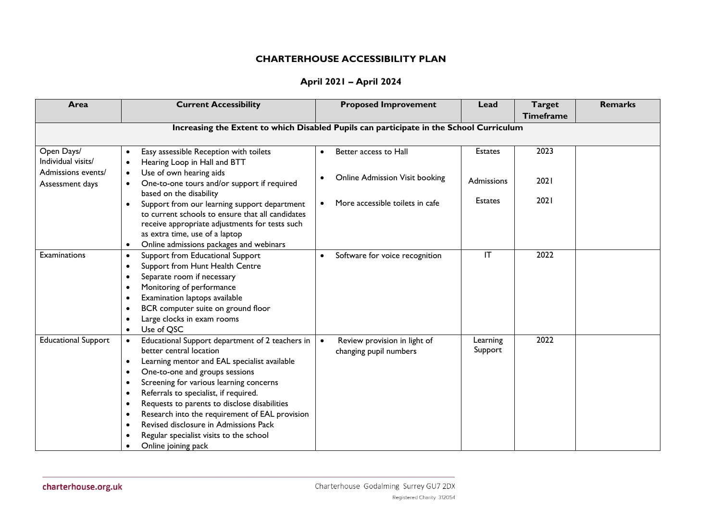# **CHARTERHOUSE ACCESSIBILITY PLAN**

|  |  | April 2021 - April 2024 |  |
|--|--|-------------------------|--|
|--|--|-------------------------|--|

| Area                                  | <b>Current Accessibility</b>                                                                                                                                                                                                                                                                                                                                                                                                                                                                                                             | <b>Proposed Improvement</b>                                                             | Lead                   | <b>Target</b><br><b>Timeframe</b> | <b>Remarks</b> |
|---------------------------------------|------------------------------------------------------------------------------------------------------------------------------------------------------------------------------------------------------------------------------------------------------------------------------------------------------------------------------------------------------------------------------------------------------------------------------------------------------------------------------------------------------------------------------------------|-----------------------------------------------------------------------------------------|------------------------|-----------------------------------|----------------|
|                                       |                                                                                                                                                                                                                                                                                                                                                                                                                                                                                                                                          | Increasing the Extent to which Disabled Pupils can participate in the School Curriculum |                        |                                   |                |
| Open Days/<br>Individual visits/      | Easy assessible Reception with toilets<br>$\bullet$<br>Hearing Loop in Hall and BTT<br>$\bullet$                                                                                                                                                                                                                                                                                                                                                                                                                                         | Better access to Hall<br>$\bullet$                                                      | <b>Estates</b>         | 2023                              |                |
| Admissions events/<br>Assessment days | Use of own hearing aids<br>$\bullet$<br>One-to-one tours and/or support if required<br>$\bullet$<br>based on the disability                                                                                                                                                                                                                                                                                                                                                                                                              | <b>Online Admission Visit booking</b><br>$\bullet$                                      | Admissions             | 2021                              |                |
|                                       | Support from our learning support department<br>$\bullet$<br>to current schools to ensure that all candidates<br>receive appropriate adjustments for tests such<br>as extra time, use of a laptop<br>Online admissions packages and webinars<br>$\bullet$                                                                                                                                                                                                                                                                                | More accessible toilets in cafe<br>$\bullet$                                            | <b>Estates</b>         | 2021                              |                |
| Examinations                          | Support from Educational Support<br>$\bullet$<br>Support from Hunt Health Centre<br>$\bullet$<br>Separate room if necessary<br>$\bullet$<br>Monitoring of performance<br>$\bullet$<br>Examination laptops available<br>$\bullet$<br>BCR computer suite on ground floor<br>$\bullet$<br>Large clocks in exam rooms<br>٠<br>Use of QSC<br>$\bullet$                                                                                                                                                                                        | Software for voice recognition<br>$\bullet$                                             | $\mathsf{I}\mathsf{T}$ | 2022                              |                |
| <b>Educational Support</b>            | Educational Support department of 2 teachers in<br>better central location<br>Learning mentor and EAL specialist available<br>٠<br>One-to-one and groups sessions<br>٠<br>Screening for various learning concerns<br>$\bullet$<br>Referrals to specialist, if required.<br>$\bullet$<br>Requests to parents to disclose disabilities<br>$\bullet$<br>Research into the requirement of EAL provision<br>$\bullet$<br>Revised disclosure in Admissions Pack<br>$\bullet$<br>Regular specialist visits to the school<br>Online joining pack | Review provision in light of<br>$\bullet$<br>changing pupil numbers                     | Learning<br>Support    | 2022                              |                |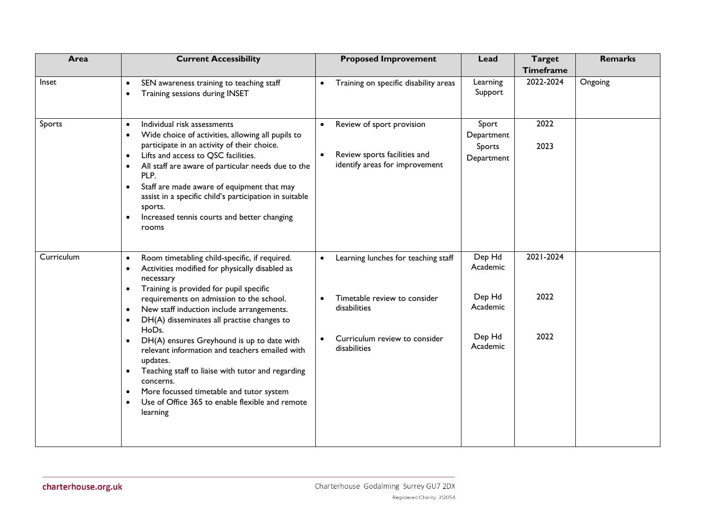| Area       | <b>Current Accessibility</b>                                                                                                                                                                                                                                                                                                                                                                                                                                                                                                                                                                                                                                                                                          | <b>Proposed Improvement</b>                                                                                                                                                 | Lead                                                           | <b>Target</b><br><b>Timeframe</b> | <b>Remarks</b> |
|------------|-----------------------------------------------------------------------------------------------------------------------------------------------------------------------------------------------------------------------------------------------------------------------------------------------------------------------------------------------------------------------------------------------------------------------------------------------------------------------------------------------------------------------------------------------------------------------------------------------------------------------------------------------------------------------------------------------------------------------|-----------------------------------------------------------------------------------------------------------------------------------------------------------------------------|----------------------------------------------------------------|-----------------------------------|----------------|
| Inset      | SEN awareness training to teaching staff<br>$\bullet$<br>Training sessions during INSET<br>$\bullet$                                                                                                                                                                                                                                                                                                                                                                                                                                                                                                                                                                                                                  | Training on specific disability areas<br>$\bullet$                                                                                                                          | Learning<br>Support                                            | 2022-2024                         | Ongoing        |
| Sports     | Individual risk assessments<br>$\bullet$<br>Wide choice of activities, allowing all pupils to<br>$\bullet$<br>participate in an activity of their choice.<br>Lifts and access to QSC facilities.<br>$\bullet$<br>All staff are aware of particular needs due to the<br>$\bullet$<br>PLP.<br>Staff are made aware of equipment that may<br>$\bullet$<br>assist in a specific child's participation in suitable<br>sports.<br>Increased tennis courts and better changing<br>$\bullet$<br>rooms                                                                                                                                                                                                                         | Review of sport provision<br>$\bullet$<br>Review sports facilities and<br>$\bullet$<br>identify areas for improvement                                                       | Sport<br>Department<br>Sports<br>Department                    | 2022<br>2023                      |                |
| Curriculum | Room timetabling child-specific, if required.<br>$\bullet$<br>Activities modified for physically disabled as<br>$\bullet$<br>necessary<br>Training is provided for pupil specific<br>$\bullet$<br>requirements on admission to the school.<br>New staff induction include arrangements.<br>$\bullet$<br>DH(A) disseminates all practise changes to<br>$\bullet$<br>HoDs.<br>DH(A) ensures Greyhound is up to date with<br>$\bullet$<br>relevant information and teachers emailed with<br>updates.<br>Teaching staff to liaise with tutor and regarding<br>$\bullet$<br>concerns.<br>More focussed timetable and tutor system<br>$\bullet$<br>Use of Office 365 to enable flexible and remote<br>$\bullet$<br>learning | Learning lunches for teaching staff<br>$\bullet$<br>Timetable review to consider<br>$\bullet$<br>disabilities<br>Curriculum review to consider<br>$\bullet$<br>disabilities | Dep Hd<br>Academic<br>Dep Hd<br>Academic<br>Dep Hd<br>Academic | 2021-2024<br>2022<br>2022         |                |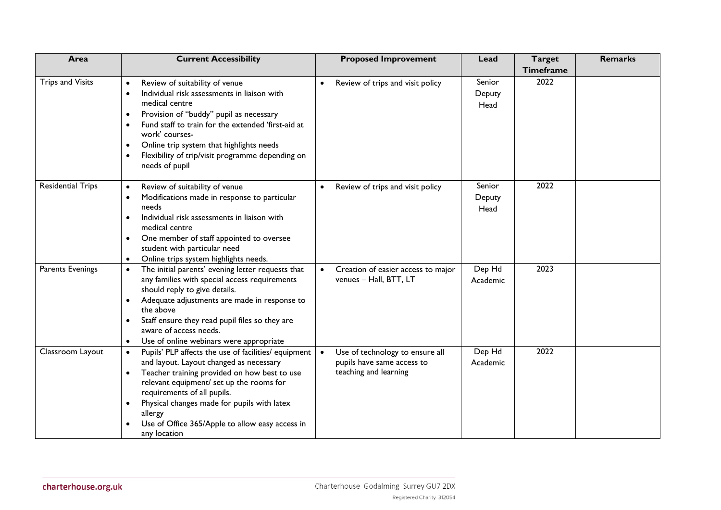| Area                     | <b>Current Accessibility</b>                                                                                                                                                                                                                                                                                                                                                                                       | <b>Proposed Improvement</b>                                                            | Lead                     | <b>Target</b><br><b>Timeframe</b> | <b>Remarks</b> |
|--------------------------|--------------------------------------------------------------------------------------------------------------------------------------------------------------------------------------------------------------------------------------------------------------------------------------------------------------------------------------------------------------------------------------------------------------------|----------------------------------------------------------------------------------------|--------------------------|-----------------------------------|----------------|
| <b>Trips and Visits</b>  | Review of suitability of venue<br>$\bullet$<br>Individual risk assessments in liaison with<br>$\bullet$<br>medical centre<br>Provision of "buddy" pupil as necessary<br>$\bullet$<br>Fund staff to train for the extended 'first-aid at<br>$\bullet$<br>work' courses-<br>Online trip system that highlights needs<br>$\bullet$<br>Flexibility of trip/visit programme depending on<br>$\bullet$<br>needs of pupil | Review of trips and visit policy<br>$\bullet$                                          | Senior<br>Deputy<br>Head | 2022                              |                |
| <b>Residential Trips</b> | Review of suitability of venue<br>$\bullet$<br>Modifications made in response to particular<br>$\bullet$<br>needs<br>Individual risk assessments in liaison with<br>$\bullet$<br>medical centre<br>One member of staff appointed to oversee<br>$\bullet$<br>student with particular need<br>Online trips system highlights needs.<br>$\bullet$                                                                     | Review of trips and visit policy<br>$\bullet$                                          | Senior<br>Deputy<br>Head | 2022                              |                |
| Parents Evenings         | The initial parents' evening letter requests that<br>$\bullet$<br>any families with special access requirements<br>should reply to give details.<br>Adequate adjustments are made in response to<br>$\bullet$<br>the above<br>Staff ensure they read pupil files so they are<br>aware of access needs.<br>Use of online webinars were appropriate<br>$\bullet$                                                     | Creation of easier access to major<br>$\bullet$<br>venues - Hall, BTT, LT              | Dep Hd<br>Academic       | 2023                              |                |
| Classroom Layout         | Pupils' PLP affects the use of facilities/ equipment<br>and layout. Layout changed as necessary<br>Teacher training provided on how best to use<br>$\bullet$<br>relevant equipment/ set up the rooms for<br>requirements of all pupils.<br>Physical changes made for pupils with latex<br>allergy<br>Use of Office 365/Apple to allow easy access in<br>any location                                               | Use of technology to ensure all<br>pupils have same access to<br>teaching and learning | Dep Hd<br>Academic       | 2022                              |                |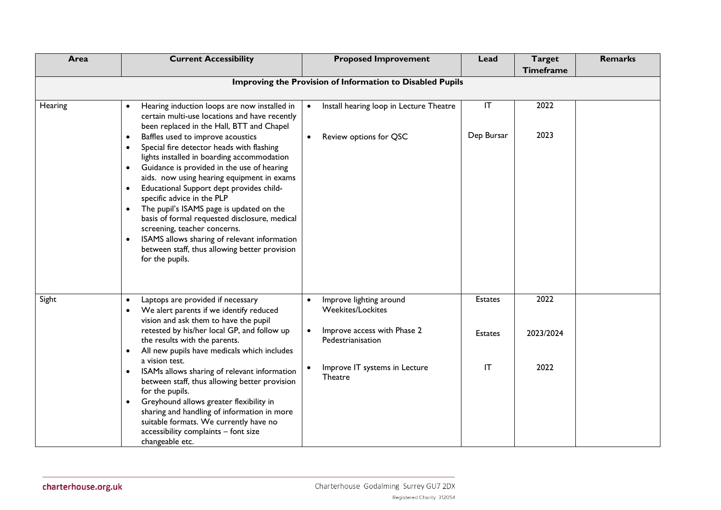| Area    | <b>Current Accessibility</b>                                                                                                                                                                                                                                                                                                                                                                                                                                                                                                                                                                                                                                                                                                                                                                 | <b>Proposed Improvement</b>                                                                                                                                      | Lead                                   | <b>Target</b>             | <b>Remarks</b> |
|---------|----------------------------------------------------------------------------------------------------------------------------------------------------------------------------------------------------------------------------------------------------------------------------------------------------------------------------------------------------------------------------------------------------------------------------------------------------------------------------------------------------------------------------------------------------------------------------------------------------------------------------------------------------------------------------------------------------------------------------------------------------------------------------------------------|------------------------------------------------------------------------------------------------------------------------------------------------------------------|----------------------------------------|---------------------------|----------------|
|         |                                                                                                                                                                                                                                                                                                                                                                                                                                                                                                                                                                                                                                                                                                                                                                                              |                                                                                                                                                                  |                                        | <b>Timeframe</b>          |                |
|         |                                                                                                                                                                                                                                                                                                                                                                                                                                                                                                                                                                                                                                                                                                                                                                                              | Improving the Provision of Information to Disabled Pupils                                                                                                        |                                        |                           |                |
| Hearing | Hearing induction loops are now installed in<br>$\bullet$<br>certain multi-use locations and have recently<br>been replaced in the Hall, BTT and Chapel<br>Baffles used to improve acoustics<br>$\bullet$<br>Special fire detector heads with flashing<br>$\bullet$<br>lights installed in boarding accommodation<br>Guidance is provided in the use of hearing<br>$\bullet$<br>aids. now using hearing equipment in exams<br>Educational Support dept provides child-<br>$\bullet$<br>specific advice in the PLP<br>The pupil's ISAMS page is updated on the<br>$\bullet$<br>basis of formal requested disclosure, medical<br>screening, teacher concerns.<br>ISAMS allows sharing of relevant information<br>$\bullet$<br>between staff, thus allowing better provision<br>for the pupils. | Install hearing loop in Lecture Theatre<br>Review options for QSC                                                                                                | IT<br>Dep Bursar                       | 2022<br>2023              |                |
| Sight   | Laptops are provided if necessary<br>$\bullet$<br>We alert parents if we identify reduced<br>vision and ask them to have the pupil<br>retested by his/her local GP, and follow up<br>the results with the parents.<br>All new pupils have medicals which includes<br>$\bullet$<br>a vision test.<br>ISAMs allows sharing of relevant information<br>$\bullet$<br>between staff, thus allowing better provision<br>for the pupils.<br>Greyhound allows greater flexibility in<br>$\bullet$<br>sharing and handling of information in more<br>suitable formats. We currently have no<br>accessibility complaints - font size<br>changeable etc.                                                                                                                                                | Improve lighting around<br><b>Weekites/Lockites</b><br>Improve access with Phase 2<br>$\bullet$<br>Pedestrianisation<br>Improve IT systems in Lecture<br>Theatre | <b>Estates</b><br><b>Estates</b><br>IT | 2022<br>2023/2024<br>2022 |                |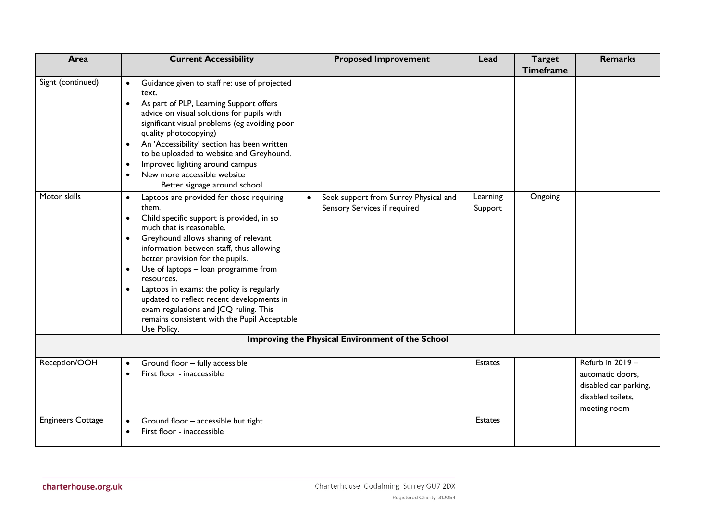| Area                              | <b>Current Accessibility</b>                                                                                                                                                                                                                                                                                                                                                                                                                                                                                                                                                                                                                                                                                                                                                                                                                                                                                                                                                                                                                                          | <b>Proposed Improvement</b>                                           | Lead                | <b>Target</b><br><b>Timeframe</b> | <b>Remarks</b>                                                                                     |
|-----------------------------------|-----------------------------------------------------------------------------------------------------------------------------------------------------------------------------------------------------------------------------------------------------------------------------------------------------------------------------------------------------------------------------------------------------------------------------------------------------------------------------------------------------------------------------------------------------------------------------------------------------------------------------------------------------------------------------------------------------------------------------------------------------------------------------------------------------------------------------------------------------------------------------------------------------------------------------------------------------------------------------------------------------------------------------------------------------------------------|-----------------------------------------------------------------------|---------------------|-----------------------------------|----------------------------------------------------------------------------------------------------|
| Sight (continued)<br>Motor skills | Guidance given to staff re: use of projected<br>$\bullet$<br>text.<br>As part of PLP, Learning Support offers<br>$\bullet$<br>advice on visual solutions for pupils with<br>significant visual problems (eg avoiding poor<br>quality photocopying)<br>An 'Accessibility' section has been written<br>$\bullet$<br>to be uploaded to website and Greyhound.<br>Improved lighting around campus<br>$\bullet$<br>New more accessible website<br>$\bullet$<br>Better signage around school<br>Laptops are provided for those requiring<br>$\bullet$<br>them.<br>Child specific support is provided, in so<br>$\bullet$<br>much that is reasonable.<br>Greyhound allows sharing of relevant<br>$\bullet$<br>information between staff, thus allowing<br>better provision for the pupils.<br>Use of laptops - loan programme from<br>$\bullet$<br>resources.<br>Laptops in exams: the policy is regularly<br>$\bullet$<br>updated to reflect recent developments in<br>exam regulations and JCQ ruling. This<br>remains consistent with the Pupil Acceptable<br>Use Policy. | Seek support from Surrey Physical and<br>Sensory Services if required | Learning<br>Support | Ongoing                           |                                                                                                    |
|                                   |                                                                                                                                                                                                                                                                                                                                                                                                                                                                                                                                                                                                                                                                                                                                                                                                                                                                                                                                                                                                                                                                       | Improving the Physical Environment of the School                      |                     |                                   |                                                                                                    |
| Reception/OOH                     | Ground floor - fully accessible<br>$\bullet$<br>First floor - inaccessible<br>$\bullet$                                                                                                                                                                                                                                                                                                                                                                                                                                                                                                                                                                                                                                                                                                                                                                                                                                                                                                                                                                               |                                                                       | <b>Estates</b>      |                                   | Refurb in 2019 -<br>automatic doors,<br>disabled car parking,<br>disabled toilets.<br>meeting room |
| <b>Engineers Cottage</b>          | Ground floor - accessible but tight<br>$\bullet$<br>First floor - inaccessible<br>$\bullet$                                                                                                                                                                                                                                                                                                                                                                                                                                                                                                                                                                                                                                                                                                                                                                                                                                                                                                                                                                           |                                                                       | <b>Estates</b>      |                                   |                                                                                                    |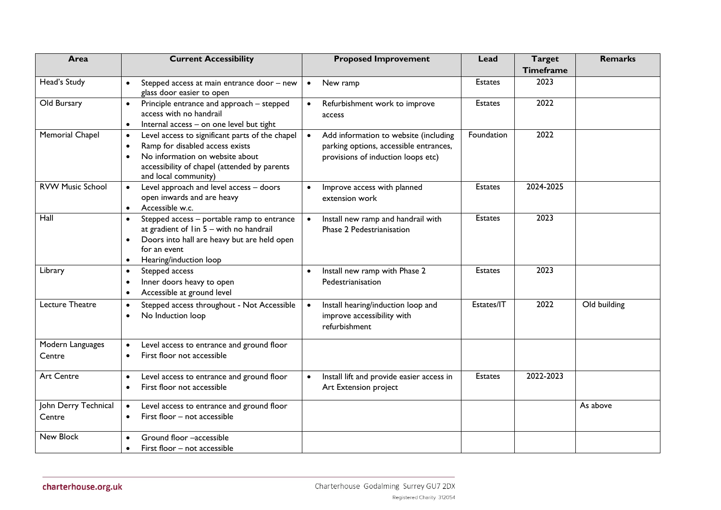| Area                           | <b>Current Accessibility</b>                                                                                                                                                                                                         | <b>Proposed Improvement</b>                                                                                           | Lead           | <b>Target</b><br><b>Timeframe</b> | <b>Remarks</b> |
|--------------------------------|--------------------------------------------------------------------------------------------------------------------------------------------------------------------------------------------------------------------------------------|-----------------------------------------------------------------------------------------------------------------------|----------------|-----------------------------------|----------------|
| Head's Study                   | Stepped access at main entrance door - new<br>$\bullet$<br>glass door easier to open                                                                                                                                                 | New ramp<br>$\bullet$                                                                                                 | <b>Estates</b> | 2023                              |                |
| Old Bursary                    | Principle entrance and approach - stepped<br>$\bullet$<br>access with no handrail<br>Internal access - on one level but tight<br>$\bullet$                                                                                           | Refurbishment work to improve<br>$\bullet$<br>access                                                                  | <b>Estates</b> | 2022                              |                |
| Memorial Chapel                | Level access to significant parts of the chapel<br>$\bullet$<br>Ramp for disabled access exists<br>$\bullet$<br>No information on website about<br>$\bullet$<br>accessibility of chapel (attended by parents<br>and local community) | Add information to website (including<br>parking options, accessible entrances,<br>provisions of induction loops etc) | Foundation     | 2022                              |                |
| <b>RVW Music School</b>        | Level approach and level access - doors<br>$\bullet$<br>open inwards and are heavy<br>Accessible w.c.<br>$\bullet$                                                                                                                   | Improve access with planned<br>extension work                                                                         | <b>Estates</b> | 2024-2025                         |                |
| Hall                           | Stepped access - portable ramp to entrance<br>$\bullet$<br>at gradient of I in 5 - with no handrail<br>Doors into hall are heavy but are held open<br>$\bullet$<br>for an event<br>Hearing/induction loop<br>$\bullet$               | Install new ramp and handrail with<br>Phase 2 Pedestrianisation                                                       | <b>Estates</b> | 2023                              |                |
| Library                        | Stepped access<br>$\bullet$<br>Inner doors heavy to open<br>$\bullet$<br>Accessible at ground level<br>$\bullet$                                                                                                                     | Install new ramp with Phase 2<br>Pedestrianisation                                                                    | <b>Estates</b> | 2023                              |                |
| Lecture Theatre                | Stepped access throughout - Not Accessible<br>$\bullet$<br>No Induction loop<br>$\bullet$                                                                                                                                            | Install hearing/induction loop and<br>$\bullet$<br>improve accessibility with<br>refurbishment                        | Estates/IT     | 2022                              | Old building   |
| Modern Languages<br>Centre     | Level access to entrance and ground floor<br>$\bullet$<br>First floor not accessible<br>$\bullet$                                                                                                                                    |                                                                                                                       |                |                                   |                |
| <b>Art Centre</b>              | Level access to entrance and ground floor<br>$\bullet$<br>First floor not accessible<br>$\bullet$                                                                                                                                    | Install lift and provide easier access in<br>$\bullet$<br>Art Extension project                                       | <b>Estates</b> | 2022-2023                         |                |
| John Derry Technical<br>Centre | Level access to entrance and ground floor<br>$\bullet$<br>First floor - not accessible<br>$\bullet$                                                                                                                                  |                                                                                                                       |                |                                   | As above       |
| New Block                      | Ground floor -accessible<br>$\bullet$<br>First floor – not accessible<br>$\bullet$                                                                                                                                                   |                                                                                                                       |                |                                   |                |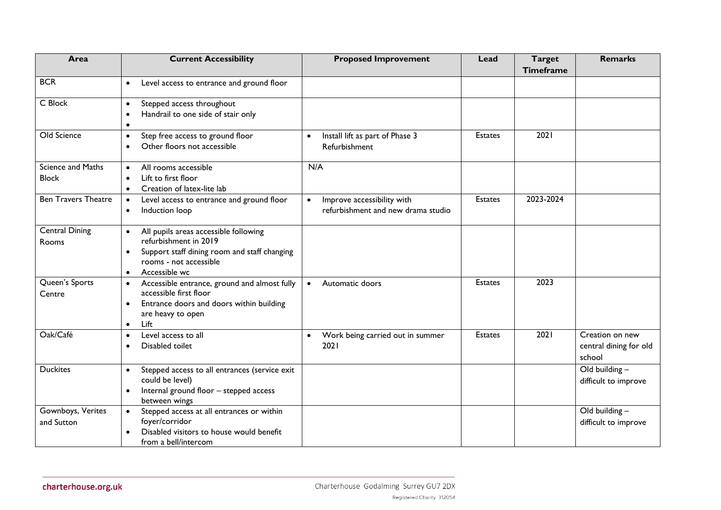| Area                              | <b>Current Accessibility</b>                                                                                                                                                                     | <b>Proposed Improvement</b>                                                   | Lead           | <b>Target</b><br><b>Timeframe</b> | <b>Remarks</b>                                      |
|-----------------------------------|--------------------------------------------------------------------------------------------------------------------------------------------------------------------------------------------------|-------------------------------------------------------------------------------|----------------|-----------------------------------|-----------------------------------------------------|
| <b>BCR</b>                        | Level access to entrance and ground floor<br>$\bullet$                                                                                                                                           |                                                                               |                |                                   |                                                     |
| C Block                           | Stepped access throughout<br>$\bullet$<br>Handrail to one side of stair only<br>$\bullet$<br>$\bullet$                                                                                           |                                                                               |                |                                   |                                                     |
| Old Science                       | Step free access to ground floor<br>$\bullet$<br>Other floors not accessible<br>$\bullet$                                                                                                        | Install lift as part of Phase 3<br>$\bullet$<br>Refurbishment                 | <b>Estates</b> | 2021                              |                                                     |
| Science and Maths<br><b>Block</b> | All rooms accessible<br>$\bullet$<br>Lift to first floor<br>$\bullet$<br>Creation of latex-lite lab<br>$\bullet$                                                                                 | N/A                                                                           |                |                                   |                                                     |
| <b>Ben Travers Theatre</b>        | Level access to entrance and ground floor<br>$\bullet$<br>Induction loop<br>$\bullet$                                                                                                            | Improve accessibility with<br>$\bullet$<br>refurbishment and new drama studio | <b>Estates</b> | 2023-2024                         |                                                     |
| <b>Central Dining</b><br>Rooms    | All pupils areas accessible following<br>$\bullet$<br>refurbishment in 2019<br>Support staff dining room and staff changing<br>$\bullet$<br>rooms - not accessible<br>Accessible wc<br>$\bullet$ |                                                                               |                |                                   |                                                     |
| Queen's Sports<br>Centre          | Accessible entrance, ground and almost fully<br>$\bullet$<br>accessible first floor<br>Entrance doors and doors within building<br>$\bullet$<br>are heavy to open<br>Lift<br>$\bullet$           | Automatic doors<br>$\bullet$                                                  | <b>Estates</b> | 2023                              |                                                     |
| Oak/Café                          | Level access to all<br>$\bullet$<br>Disabled toilet<br>$\bullet$                                                                                                                                 | Work being carried out in summer<br>$\bullet$<br>2021                         | <b>Estates</b> | 2021                              | Creation on new<br>central dining for old<br>school |
| <b>Duckites</b>                   | Stepped access to all entrances (service exit<br>$\bullet$<br>could be level)<br>Internal ground floor - stepped access<br>$\bullet$<br>between wings                                            |                                                                               |                |                                   | Old building $-$<br>difficult to improve            |
| Gownboys, Verites<br>and Sutton   | Stepped access at all entrances or within<br>foyer/corridor<br>Disabled visitors to house would benefit<br>from a bell/intercom                                                                  |                                                                               |                |                                   | Old building $-$<br>difficult to improve            |